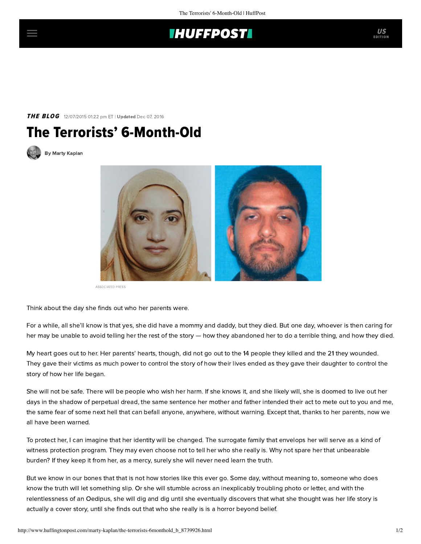## **THUFFPOST**

## **THE BLOG** 12/07/2015 01:22 pm ET | Updated Dec 07, 2016





[By Marty Kaplan](http://www.huffingtonpost.com/author/marty-kaplan)



ASSOCIATED PRESS

Think about the day she finds out who her parents were.

For a while, all she'll know is that yes, she did have a mommy and daddy, but they died. But one day, whoever is then caring for her may be unable to avoid telling her the rest of the story — how they abandoned her to do a terrible thing, and how they died.

My heart goes out to her. Her parents' hearts, though, did not go out to the 14 people they killed and the 21 they wounded. They gave their victims as much power to control the story of how their lives ended as they gave their daughter to control the story of how her life began.

She will not be safe. There will be people who wish her harm. If she knows it, and she likely will, she is doomed to live out her days in the shadow of perpetual dread, the same sentence her mother and father intended their act to mete out to you and me, the same fear of some next hell that can befall anyone, anywhere, without warning. Except that, thanks to her parents, now we all have been warned.

To protect her, I can imagine that her identity will be changed. The surrogate family that envelops her will serve as a kind of witness protection program. They may even choose not to tell her who she really is. Why not spare her that unbearable burden? If they keep it from her, as a mercy, surely she will never need learn the truth.

But we know in our bones that that is not how stories like this ever go. Some day, without meaning to, someone who does know the truth will let something slip. Or she will stumble across an inexplicably troubling photo or letter, and with the relentlessness of an Oedipus, she will dig and dig until she eventually discovers that what she thought was her life story is actually a cover story, until she finds out that who she really is is a horror beyond belief.